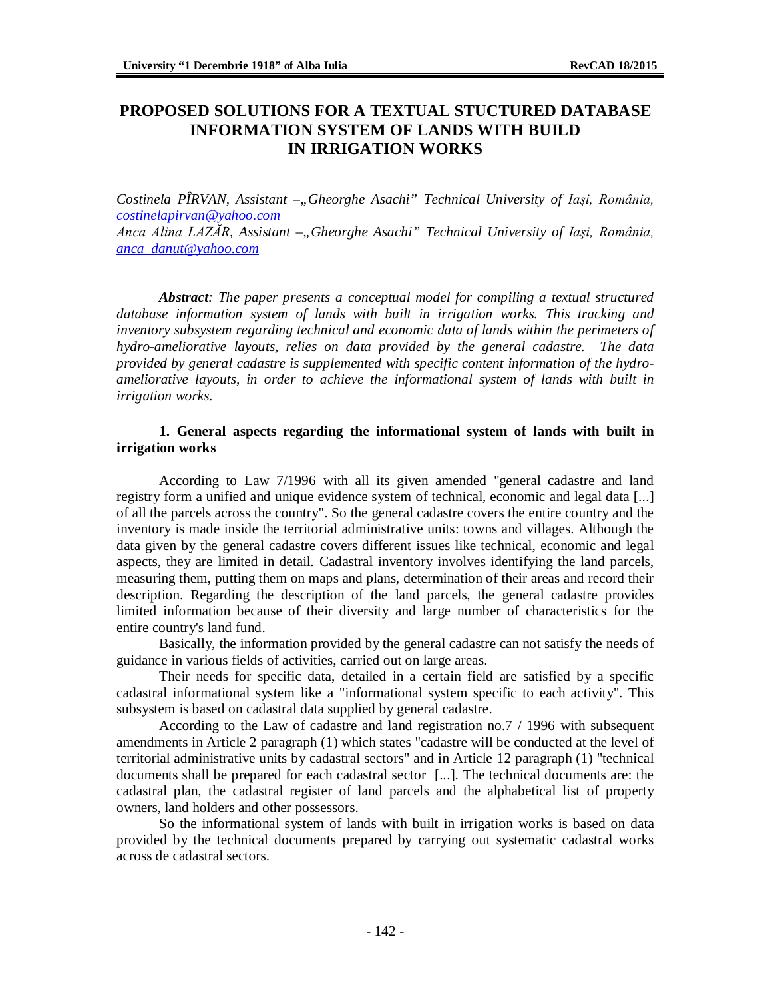# **PROPOSED SOLUTIONS FOR A TEXTUAL STUCTURED DATABASE INFORMATION SYSTEM OF LANDS WITH BUILD IN IRRIGATION WORKS**

*Costinela PÎRVAN, Assistant* –"Gheorghe Asachi" Technical University of Iași, România, *[costinelapirvan@yahoo.com](mailto:costinelapirvan@yahoo.com)*

*Anca Alina LAZĂR, Assistant –"Gheorghe Asachi" Technical University of Iaşi, România, [anca\\_danut@yahoo.com](mailto:anca_danut@yahoo.com)*

*Abstract: The paper presents a conceptual model for compiling a textual structured database information system of lands with built in irrigation works. This tracking and inventory subsystem regarding technical and economic data of lands within the perimeters of hydro-ameliorative layouts, relies on data provided by the general cadastre. The data provided by general cadastre is supplemented with specific content information of the hydroameliorative layouts, in order to achieve the informational system of lands with built in irrigation works.*

#### **1. General aspects regarding the informational system of lands with built in irrigation works**

According to Law 7/1996 with all its given amended "general cadastre and land registry form a unified and unique evidence system of technical, economic and legal data [...] of all the parcels across the country". So the general cadastre covers the entire country and the inventory is made inside the territorial administrative units: towns and villages. Although the data given by the general cadastre covers different issues like technical, economic and legal aspects, they are limited in detail. Cadastral inventory involves identifying the land parcels, measuring them, putting them on maps and plans, determination of their areas and record their description. Regarding the description of the land parcels, the general cadastre provides limited information because of their diversity and large number of characteristics for the entire country's land fund.

Basically, the information provided by the general cadastre can not satisfy the needs of guidance in various fields of activities, carried out on large areas.

Their needs for specific data, detailed in a certain field are satisfied by a specific cadastral informational system like a "informational system specific to each activity". This subsystem is based on cadastral data supplied by general cadastre.

According to the Law of cadastre and land registration no.7 / 1996 with subsequent amendments in Article 2 paragraph (1) which states "cadastre will be conducted at the level of territorial administrative units by cadastral sectors" and in Article 12 paragraph (1) "technical documents shall be prepared for each cadastral sector [...]. The technical documents are: the cadastral plan, the cadastral register of land parcels and the alphabetical list of property owners, land holders and other possessors.

So the informational system of lands with built in irrigation works is based on data provided by the technical documents prepared by carrying out systematic cadastral works across de cadastral sectors.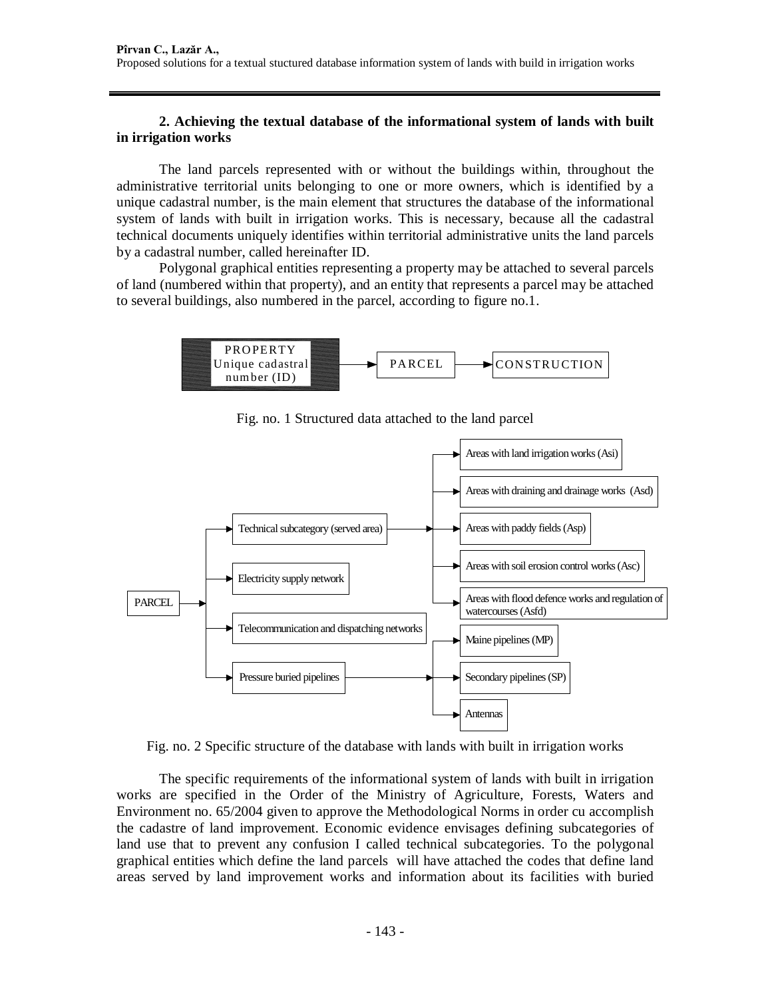#### **2. Achieving the textual database of the informational system of lands with built in irrigation works**

The land parcels represented with or without the buildings within, throughout the administrative territorial units belonging to one or more owners, which is identified by a unique cadastral number, is the main element that structures the database of the informational system of lands with built in irrigation works. This is necessary, because all the cadastral technical documents uniquely identifies within territorial administrative units the land parcels by a cadastral number, called hereinafter ID.

Polygonal graphical entities representing a property may be attached to several parcels of land (numbered within that property), and an entity that represents a parcel may be attached to several buildings, also numbered in the parcel, according to figure no.1.



Fig. no. 1 Structured data attached to the land parcel



Fig. no. 2 Specific structure of the database with lands with built in irrigation works

The specific requirements of the informational system of lands with built in irrigation works are specified in the Order of the Ministry of Agriculture, Forests, Waters and Environment no. 65/2004 given to approve the Methodological Norms in order cu accomplish the cadastre of land improvement. Economic evidence envisages defining subcategories of land use that to prevent any confusion I called technical subcategories. To the polygonal graphical entities which define the land parcels will have attached the codes that define land areas served by land improvement works and information about its facilities with buried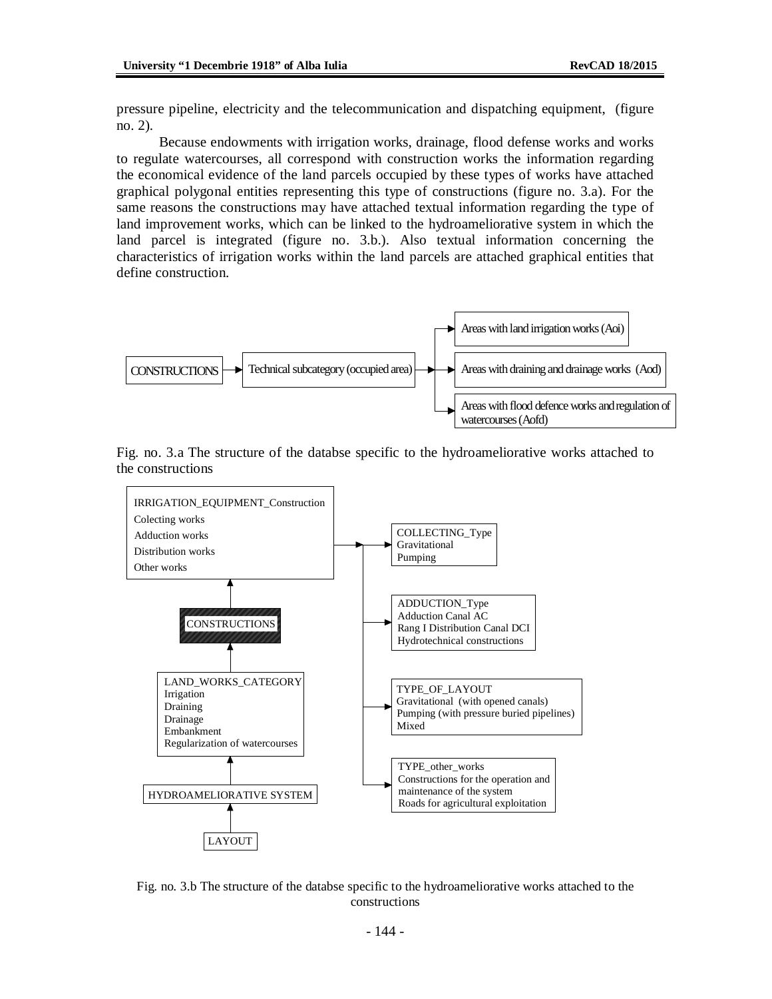pressure pipeline, electricity and the telecommunication and dispatching equipment, (figure no. 2).

Because endowments with irrigation works, drainage, flood defense works and works to regulate watercourses, all correspond with construction works the information regarding the economical evidence of the land parcels occupied by these types of works have attached graphical polygonal entities representing this type of constructions (figure no. 3.a). For the same reasons the constructions may have attached textual information regarding the type of land improvement works, which can be linked to the hydroameliorative system in which the land parcel is integrated (figure no. 3.b.). Also textual information concerning the characteristics of irrigation works within the land parcels are attached graphical entities that define construction.







Fig. no. 3.b The structure of the databse specific to the hydroameliorative works attached to the constructions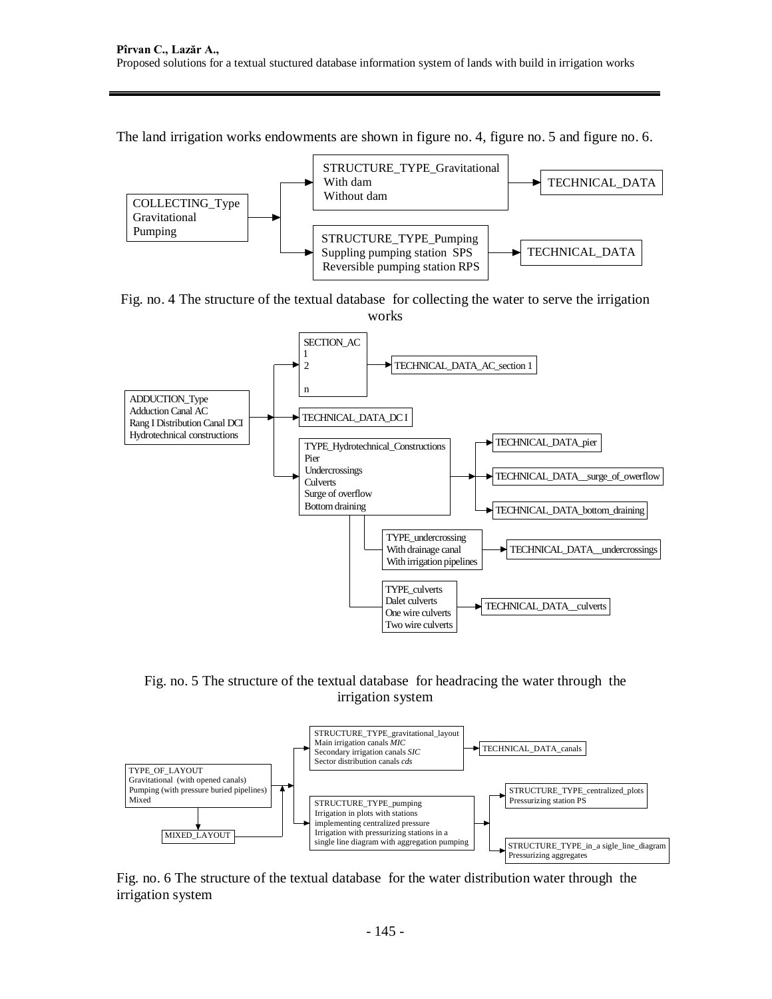The land irrigation works endowments are shown in figure no. 4, figure no. 5 and figure no. 6.



Fig. no. 4 The structure of the textual database for collecting the water to serve the irrigation works



Fig. no. 5 The structure of the textual database for headracing the water through the irrigation system



Fig. no. 6 The structure of the textual database for the water distribution water through the irrigation system